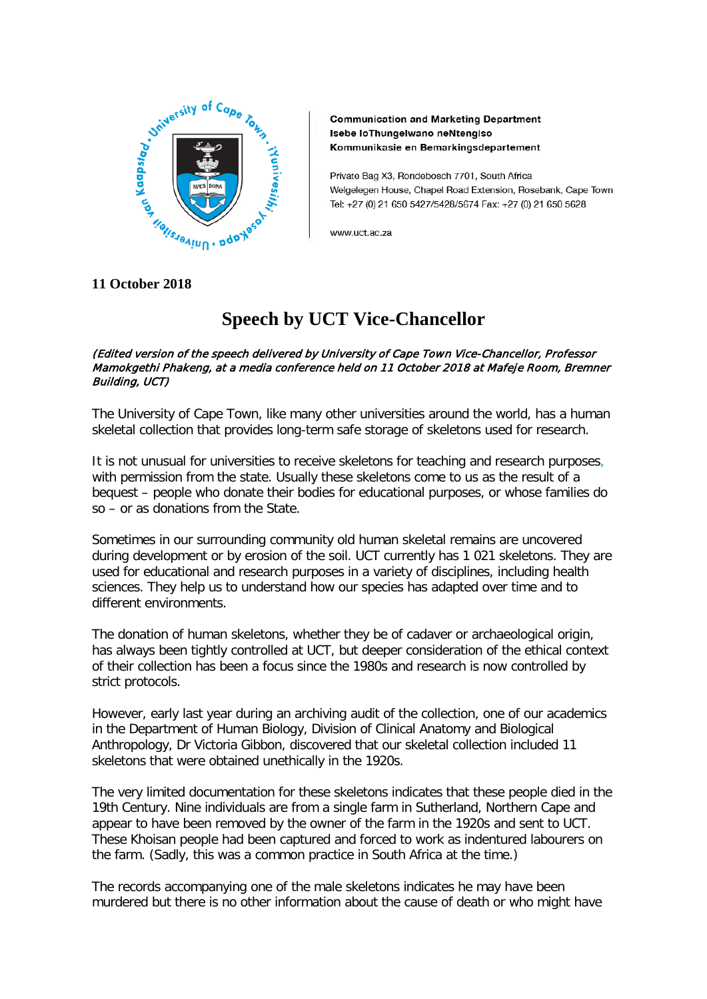

**Communication and Marketing Department** Isebe loThungelwano neNtengiso Kommunikasie en Bemarkingsdepartement

Private Bag X3, Rondebosch 7701, South Africa Welgelegen House, Chapel Road Extension, Rosebank, Cape Town Tel: +27 (0) 21 650 5427/5428/5674 Fax: +27 (0) 21 650 5628

www.uct.ac.za

## **11 October 2018**

# **Speech by UCT Vice-Chancellor**

#### (Edited version of the speech delivered by University of Cape Town Vice-Chancellor, Professor Mamokgethi Phakeng, at a media conference held on 11 October 2018 at Mafeje Room, Bremner Building, UCT)

The University of Cape Town, like many other universities around the world, has a human skeletal collection that provides long-term safe storage of skeletons used for research.

It is not unusual for universities to receive skeletons for teaching and research purposes, with permission from the state. Usually these skeletons come to us as the result of a bequest – people who donate their bodies for educational purposes, or whose families do so – or as donations from the State.

Sometimes in our surrounding community old human skeletal remains are uncovered during development or by erosion of the soil. UCT currently has 1 021 skeletons. They are used for educational and research purposes in a variety of disciplines, including health sciences. They help us to understand how our species has adapted over time and to different environments.

The donation of human skeletons, whether they be of cadaver or archaeological origin, has always been tightly controlled at UCT, but deeper consideration of the ethical context of their collection has been a focus since the 1980s and research is now controlled by strict protocols.

However, early last year during an archiving audit of the collection, one of our academics in the Department of Human Biology, Division of Clinical Anatomy and Biological Anthropology, Dr Victoria Gibbon, discovered that our skeletal collection included 11 skeletons that were obtained unethically in the 1920s.

The very limited documentation for these skeletons indicates that these people died in the 19th Century. Nine individuals are from a single farm in Sutherland, Northern Cape and appear to have been removed by the owner of the farm in the 1920s and sent to UCT. These Khoisan people had been captured and forced to work as indentured labourers on the farm. (Sadly, this was a common practice in South Africa at the time.)

The records accompanying one of the male skeletons indicates he may have been murdered but there is no other information about the cause of death or who might have